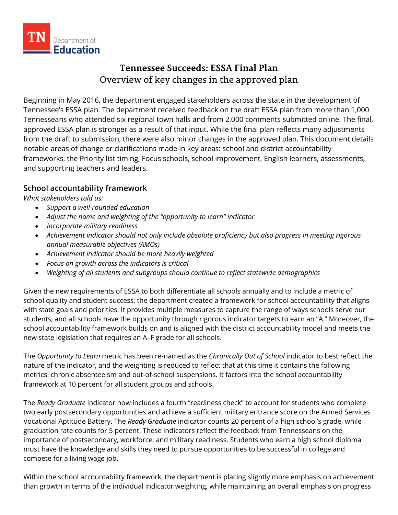

# **Tennessee Succeeds: ESSA Final Plan** Overview of key changes in the approved plan

Beginning in May 2016, the department engaged stakeholders across the state in the development of Tennessee's ESSA plan. The department received feedback on the draft ESSA plan from more than 1,000 Tennesseans who attended six regional town halls and from 2,000 comments submitted online. The final, approved ESSA plan is stronger as a result of that input. While the final plan reflects many adjustments from the draft to submission, there were also minor changes in the approved plan. This document details notable areas of change or clarifications made in key areas: school and district accountability frameworks, the Priority list timing, Focus schools, school improvement, English learners, assessments, and supporting teachers and leaders.

## **School accountability framework**

*What stakeholders told us:*

- *Support a well-rounded education*
- *Adjust the name and weighting of the "opportunity to learn" indicator*
- *Incorporate military readiness*
- *Achievement indicator should not only include absolute proficiency but also progress in meeting rigorous annual measurable objectives (AMOs)*
- *Achievement indicator should be more heavily weighted*
- *Focus on growth across the indicators is critical*
- *Weighting of all students and subgroups should continue to reflect statewide demographics*

Given the new requirements of ESSA to both differentiate all schools annually and to include a metric of school quality and student success, the department created a framework for school accountability that aligns with state goals and priorities. It provides multiple measures to capture the range of ways schools serve our students, and all schools have the opportunity through rigorous indicator targets to earn an "A." Moreover, the school accountability framework builds on and is aligned with the district accountability model and meets the new state legislation that requires an A–F grade for all schools.

The *Opportunity to Learn* metric has been re-named as the *Chronically Out of School* indicator to best reflect the nature of the indicator, and the weighting is reduced to reflect that at this time it contains the following metrics: chronic absenteeism and out-of-school suspensions. It factors into the school accountability framework at 10 percent for all student groups and schools.

The *Ready Graduate* indicator now includes a fourth "readiness check" to account for students who complete two early postsecondary opportunities and achieve a sufficient military entrance score on the Armed Services Vocational Aptitude Battery. The *Ready Graduate* indicator counts 20 percent of a high school's grade, while graduation rate counts for 5 percent. These indicators reflect the feedback from Tennesseans on the importance of postsecondary, workforce, and military readiness. Students who earn a high school diploma must have the knowledge and skills they need to pursue opportunities to be successful in college and compete for a living wage job.

Within the school accountability framework, the department is placing slightly more emphasis on achievement than growth in terms of the individual indicator weighting, while maintaining an overall emphasis on progress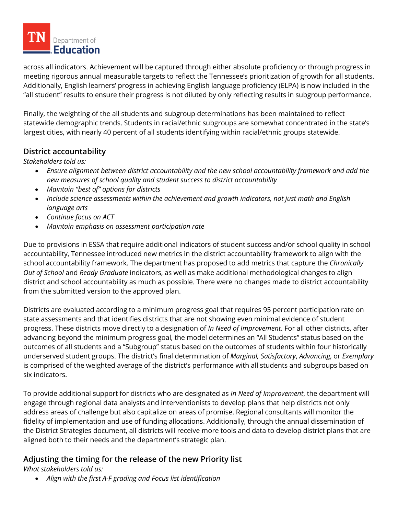

across all indicators. Achievement will be captured through either absolute proficiency or through progress in meeting rigorous annual measurable targets to reflect the Tennessee's prioritization of growth for all students. Additionally, English learners' progress in achieving English language proficiency (ELPA) is now included in the "all student" results to ensure their progress is not diluted by only reflecting results in subgroup performance.

Finally, the weighting of the all students and subgroup determinations has been maintained to reflect statewide demographic trends. Students in racial/ethnic subgroups are somewhat concentrated in the state's largest cities, with nearly 40 percent of all students identifying within racial/ethnic groups statewide.

#### **District accountability**

*Stakeholders told us:*

- *Ensure alignment between district accountability and the new school accountability framework and add the new measures of school quality and student success to district accountability*
- *Maintain "best of" options for districts*
- *Include science assessments within the achievement and growth indicators, not just math and English language arts*
- *Continue focus on ACT*
- *Maintain emphasis on assessment participation rate*

Due to provisions in ESSA that require additional indicators of student success and/or school quality in school accountability, Tennessee introduced new metrics in the district accountability framework to align with the school accountability framework. The department has proposed to add metrics that capture the *Chronically Out of School* and *Ready Graduate* indicators, as well as make additional methodological changes to align district and school accountability as much as possible. There were no changes made to district accountability from the submitted version to the approved plan.

Districts are evaluated according to a minimum progress goal that requires 95 percent participation rate on state assessments and that identifies districts that are not showing even minimal evidence of student progress. These districts move directly to a designation of *In Need of Improvement*. For all other districts, after advancing beyond the minimum progress goal, the model determines an "All Students" status based on the outcomes of all students and a "Subgroup" status based on the outcomes of students within four historically underserved student groups. The district's final determination of *Marginal, Satisfactory*, *Advancing*, or *Exemplary* is comprised of the weighted average of the district's performance with all students and subgroups based on six indicators.

To provide additional support for districts who are designated as *In Need of Improvement*, the department will engage through regional data analysts and interventionists to develop plans that help districts not only address areas of challenge but also capitalize on areas of promise. Regional consultants will monitor the fidelity of implementation and use of funding allocations. Additionally, through the annual dissemination of the District Strategies document, all districts will receive more tools and data to develop district plans that are aligned both to their needs and the department's strategic plan.

## **Adjusting the timing for the release of the new Priority list**

*What stakeholders told us:*

• *Align with the first A-F grading and Focus list identification*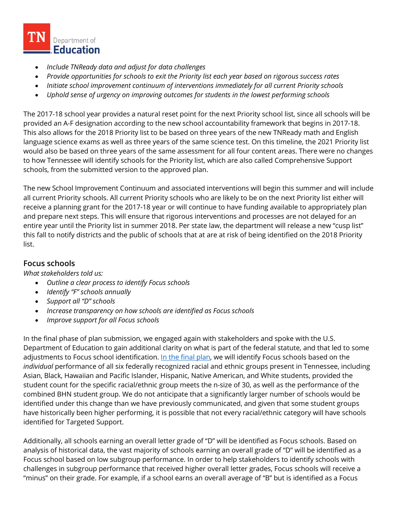

- *Include TNReady data and adjust for data challenges*
- *Provide opportunities for schools to exit the Priority list each year based on rigorous success rates*
- *Initiate school improvement continuum of interventions immediately for all current Priority schools*
- *Uphold sense of urgency on improving outcomes for students in the lowest performing schools*

The 2017-18 school year provides a natural reset point for the next Priority school list, since all schools will be provided an A-F designation according to the new school accountability framework that begins in 2017-18. This also allows for the 2018 Priority list to be based on three years of the new TNReady math and English language science exams as well as three years of the same science test. On this timeline, the 2021 Priority list would also be based on three years of the same assessment for all four content areas. There were no changes to how Tennessee will identify schools for the Priority list, which are also called Comprehensive Support schools, from the submitted version to the approved plan.

The new School Improvement Continuum and associated interventions will begin this summer and will include all current Priority schools. All current Priority schools who are likely to be on the next Priority list either will receive a planning grant for the 2017-18 year or will continue to have funding available to appropriately plan and prepare next steps. This will ensure that rigorous interventions and processes are not delayed for an entire year until the Priority list in summer 2018. Per state law, the department will release a new "cusp list" this fall to notify districts and the public of schools that at are at risk of being identified on the 2018 Priority list.

## **Focus schools**

*What stakeholders told us:* 

- *Outline a clear process to identify Focus schools*
- *Identify "F" schools annually*
- *Support all "D" schools*
- *Increase transparency on how schools are identified as Focus schools*
- *Improve support for all Focus schools*

In the final phase of plan submission, we engaged again with stakeholders and spoke with the U.S. Department of Education to gain additional clarity on what is part of the federal statute, and that led to some adjustments to Focus school identification. [In the final plan,](http://tn.gov/education/section/essa) we will identify Focus schools based on the *individual* performance of all six federally recognized racial and ethnic groups present in Tennessee, including Asian, Black, Hawaiian and Pacific Islander, Hispanic, Native American, and White students, provided the student count for the specific racial/ethnic group meets the n-size of 30, as well as the performance of the combined BHN student group. We do not anticipate that a significantly larger number of schools would be identified under this change than we have previously communicated, and given that some student groups have historically been higher performing, it is possible that not every racial/ethnic category will have schools identified for Targeted Support.

Additionally, all schools earning an overall letter grade of "D" will be identified as Focus schools. Based on analysis of historical data, the vast majority of schools earning an overall grade of "D" will be identified as a Focus school based on low subgroup performance. In order to help stakeholders to identify schools with challenges in subgroup performance that received higher overall letter grades, Focus schools will receive a "minus" on their grade. For example, if a school earns an overall average of "B" but is identified as a Focus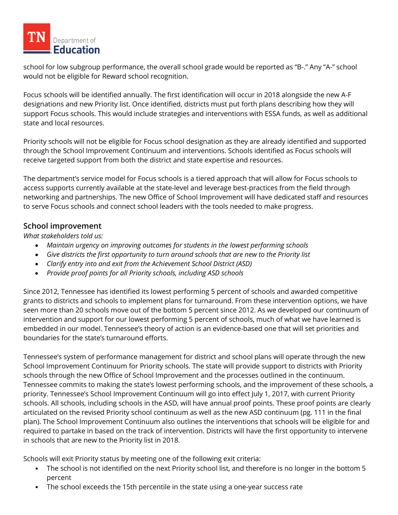

school for low subgroup performance, the overall school grade would be reported as "B-." Any "A-" school would not be eligible for Reward school recognition.

Focus schools will be identified annually. The first identification will occur in 2018 alongside the new A-F designations and new Priority list. Once identified, districts must put forth plans describing how they will support Focus schools. This would include strategies and interventions with ESSA funds, as well as additional state and local resources.

Priority schools will not be eligible for Focus school designation as they are already identified and supported through the School Improvement Continuum and interventions. Schools identified as Focus schools will receive targeted support from both the district and state expertise and resources.

The department's service model for Focus schools is a tiered approach that will allow for Focus schools to access supports currently available at the state-level and leverage best-practices from the field through networking and partnerships. The new Office of School Improvement will have dedicated staff and resources to serve Focus schools and connect school leaders with the tools needed to make progress.

#### **School improvement**

*What stakeholders told us:* 

- *Maintain urgency on improving outcomes for students in the lowest performing schools*
- *Give districts the first opportunity to turn around schools that are new to the Priority list*
- *Clarify entry into and exit from the Achievement School District (ASD)*
- *Provide proof points for all Priority schools, including ASD schools*

Since 2012, Tennessee has identified its lowest performing 5 percent of schools and awarded competitive grants to districts and schools to implement plans for turnaround. From these intervention options, we have seen more than 20 schools move out of the bottom 5 percent since 2012. As we developed our continuum of intervention and support for our lowest performing 5 percent of schools, much of what we have learned is embedded in our model. Tennessee's theory of action is an evidence-based one that will set priorities and boundaries for the state's turnaround efforts.

Tennessee's system of performance management for district and school plans will operate through the new School Improvement Continuum for Priority schools. The state will provide support to districts with Priority schools through the new Office of School Improvement and the processes outlined in the continuum. Tennessee commits to making the state's lowest performing schools, and the improvement of these schools, a priority. Tennessee's School Improvement Continuum will go into effect July 1, 2017, with current Priority schools. All schools, including schools in the ASD, will have annual proof points. These proof points are clearly articulated on the revised Priority school continuum as well as the new ASD continuum (pg. 111 in the final plan). The School Improvement Continuum also outlines the interventions that schools will be eligible for and required to partake in based on the track of intervention. Districts will have the first opportunity to intervene in schools that are new to the Priority list in 2018.

Schools will exit Priority status by meeting one of the following exit criteria:

- The school is not identified on the next Priority school list, and therefore is no longer in the bottom 5 percent
- The school exceeds the 15th percentile in the state using a one-year success rate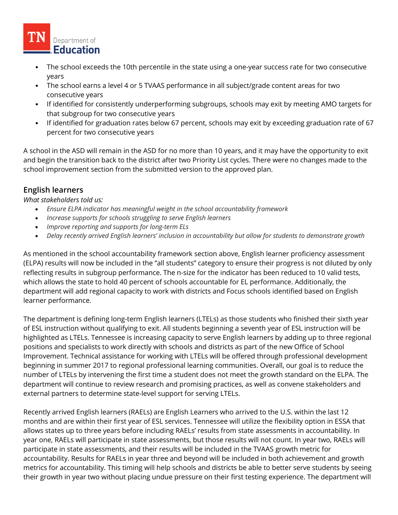

- The school exceeds the 10th percentile in the state using a one-year success rate for two consecutive years
- The school earns a level 4 or 5 TVAAS performance in all subject/grade content areas for two consecutive years
- If identified for consistently underperforming subgroups, schools may exit by meeting AMO targets for that subgroup for two consecutive years
- If identified for graduation rates below 67 percent, schools may exit by exceeding graduation rate of 67 percent for two consecutive years

A school in the ASD will remain in the ASD for no more than 10 years, and it may have the opportunity to exit and begin the transition back to the district after two Priority List cycles. There were no changes made to the school improvement section from the submitted version to the approved plan.

# **English learners**

*What stakeholders told us:*

- *Ensure ELPA indicator has meaningful weight in the school accountability framework*
- *Increase supports for schools struggling to serve English learners*
- *Improve reporting and supports for long-term ELs*
- *Delay recently arrived English learners' inclusion in accountability but allow for students to demonstrate growth*

As mentioned in the school accountability framework section above, English learner proficiency assessment (ELPA) results will now be included in the "all students" category to ensure their progress is not diluted by only reflecting results in subgroup performance. The n-size for the indicator has been reduced to 10 valid tests, which allows the state to hold 40 percent of schools accountable for EL performance. Additionally, the department will add regional capacity to work with districts and Focus schools identified based on English learner performance.

The department is defining long-term English learners (LTELs) as those students who finished their sixth year of ESL instruction without qualifying to exit. All students beginning a seventh year of ESL instruction will be highlighted as LTELs. Tennessee is increasing capacity to serve English learners by adding up to three regional positions and specialists to work directly with schools and districts as part of the new Office of School Improvement. Technical assistance for working with LTELs will be offered through professional development beginning in summer 2017 to regional professional learning communities. Overall, our goal is to reduce the number of LTELs by intervening the first time a student does not meet the growth standard on the ELPA. The department will continue to review research and promising practices, as well as convene stakeholders and external partners to determine state-level support for serving LTELs.

Recently arrived English learners (RAELs) are English Learners who arrived to the U.S. within the last 12 months and are within their first year of ESL services. Tennessee will utilize the flexibility option in ESSA that allows states up to three years before including RAELs' results from state assessments in accountability. In year one, RAELs will participate in state assessments, but those results will not count. In year two, RAELs will participate in state assessments, and their results will be included in the TVAAS growth metric for accountability. Results for RAELs in year three and beyond will be included in both achievement and growth metrics for accountability. This timing will help schools and districts be able to better serve students by seeing their growth in year two without placing undue pressure on their first testing experience. The department will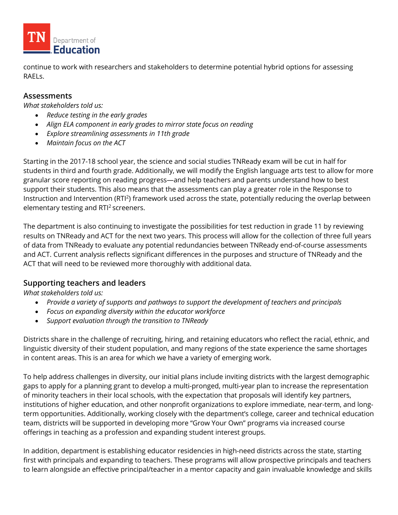

continue to work with researchers and stakeholders to determine potential hybrid options for assessing RAELs.

#### **Assessments**

*What stakeholders told us:*

- *Reduce testing in the early grades*
- *Align ELA component in early grades to mirror state focus on reading*
- *Explore streamlining assessments in 11th grade*
- *Maintain focus on the ACT*

Starting in the 2017-18 school year, the science and social studies TNReady exam will be cut in half for students in third and fourth grade. Additionally, we will modify the English language arts test to allow for more granular score reporting on reading progress—and help teachers and parents understand how to best support their students. This also means that the assessments can play a greater role in the Response to Instruction and Intervention (RTI<sup>2</sup>) framework used across the state, potentially reducing the overlap between elementary testing and  $RTI<sup>2</sup>$  screeners.

The department is also continuing to investigate the possibilities for test reduction in grade 11 by reviewing results on TNReady and ACT for the next two years. This process will allow for the collection of three full years of data from TNReady to evaluate any potential redundancies between TNReady end-of-course assessments and ACT. Current analysis reflects significant differences in the purposes and structure of TNReady and the ACT that will need to be reviewed more thoroughly with additional data.

#### **Supporting teachers and leaders**

*What stakeholders told us:*

- *Provide a variety of supports and pathways to support the development of teachers and principals*
- *Focus on expanding diversity within the educator workforce*
- *Support evaluation through the transition to TNReady*

Districts share in the challenge of recruiting, hiring, and retaining educators who reflect the racial, ethnic, and linguistic diversity of their student population, and many regions of the state experience the same shortages in content areas. This is an area for which we have a variety of emerging work.

To help address challenges in diversity, our initial plans include inviting districts with the largest demographic gaps to apply for a planning grant to develop a multi-pronged, multi-year plan to increase the representation of minority teachers in their local schools, with the expectation that proposals will identify key partners, institutions of higher education, and other nonprofit organizations to explore immediate, near-term, and longterm opportunities. Additionally, working closely with the department's college, career and technical education team, districts will be supported in developing more "Grow Your Own" programs via increased course offerings in teaching as a profession and expanding student interest groups.

In addition, department is establishing educator residencies in high-need districts across the state, starting first with principals and expanding to teachers. These programs will allow prospective principals and teachers to learn alongside an effective principal/teacher in a mentor capacity and gain invaluable knowledge and skills